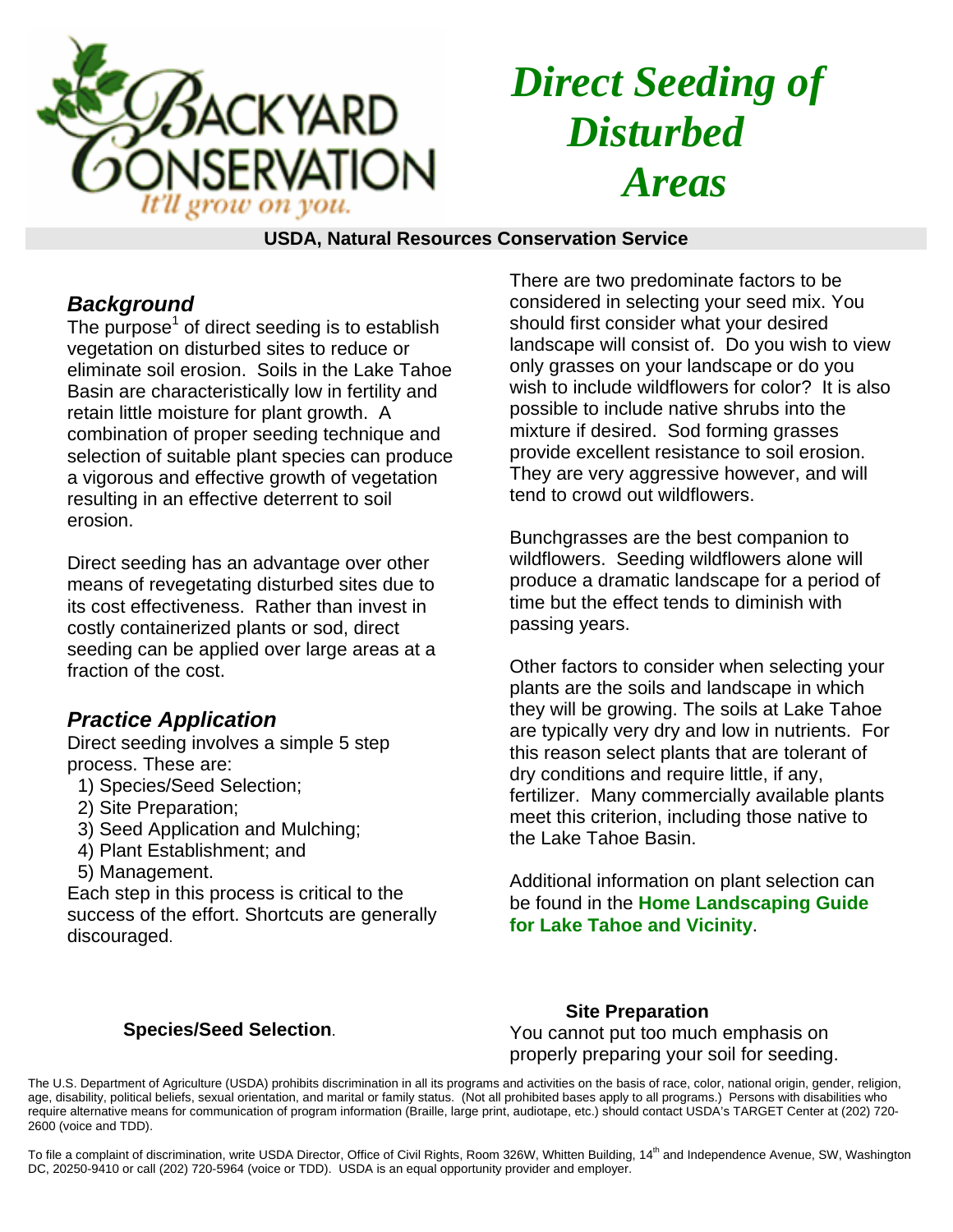

# *Direct Seeding of Disturbed Areas*

#### **USDA, Natural Resources Conservation Service**

## *Background*

The purpose<sup>1</sup> of direct seeding is to establish vegetation on disturbed sites to reduce or eliminate soil erosion. Soils in the Lake Tahoe Basin are characteristically low in fertility and retain little moisture for plant growth. A combination of proper seeding technique and selection of suitable plant species can produce a vigorous and effective growth of vegetation resulting in an effective deterrent to soil erosion.

Direct seeding has an advantage over other means of revegetating disturbed sites due to its cost effectiveness. Rather than invest in costly containerized plants or sod, direct seeding can be applied over large areas at a fraction of the cost.

## *Practice Application*

Direct seeding involves a simple 5 step process. These are:

- 1) Species/Seed Selection;
- 2) Site Preparation;
- 3) Seed Application and Mulching;
- 4) Plant Establishment; and
- 5) Management.

Each step in this process is critical to the success of the effort. Shortcuts are generally discouraged.

There are two predominate factors to be considered in selecting your seed mix. You should first consider what your desired landscape will consist of. Do you wish to view only grasses on your landscape or do you wish to include wildflowers for color? It is also possible to include native shrubs into the mixture if desired. Sod forming grasses provide excellent resistance to soil erosion. They are very aggressive however, and will tend to crowd out wildflowers.

Bunchgrasses are the best companion to wildflowers. Seeding wildflowers alone will produce a dramatic landscape for a period of time but the effect tends to diminish with passing years.

Other factors to consider when selecting your plants are the soils and landscape in which they will be growing. The soils at Lake Tahoe are typically very dry and low in nutrients. For this reason select plants that are tolerant of dry conditions and require little, if any, fertilizer. Many commercially available plants meet this criterion, including those native to the Lake Tahoe Basin.

Additional information on plant selection can be found in the **Home Landscaping Guide for Lake Tahoe and Vicinity**.

### **Species/Seed Selection**.

**Site Preparation**  You cannot put too much emphasis on properly preparing your soil for seeding.

The U.S. Department of Agriculture (USDA) prohibits discrimination in all its programs and activities on the basis of race, color, national origin, gender, religion, age, disability, political beliefs, sexual orientation, and marital or family status. (Not all prohibited bases apply to all programs.) Persons with disabilities who require alternative means for communication of program information (Braille, large print, audiotape, etc.) should contact USDA's TARGET Center at (202) 720- 2600 (voice and TDD).

To file a complaint of discrimination, write USDA Director, Office of Civil Rights, Room 326W, Whitten Building, 14<sup>th</sup> and Independence Avenue, SW, Washington DC, 20250-9410 or call (202) 720-5964 (voice or TDD). USDA is an equal opportunity provider and employer.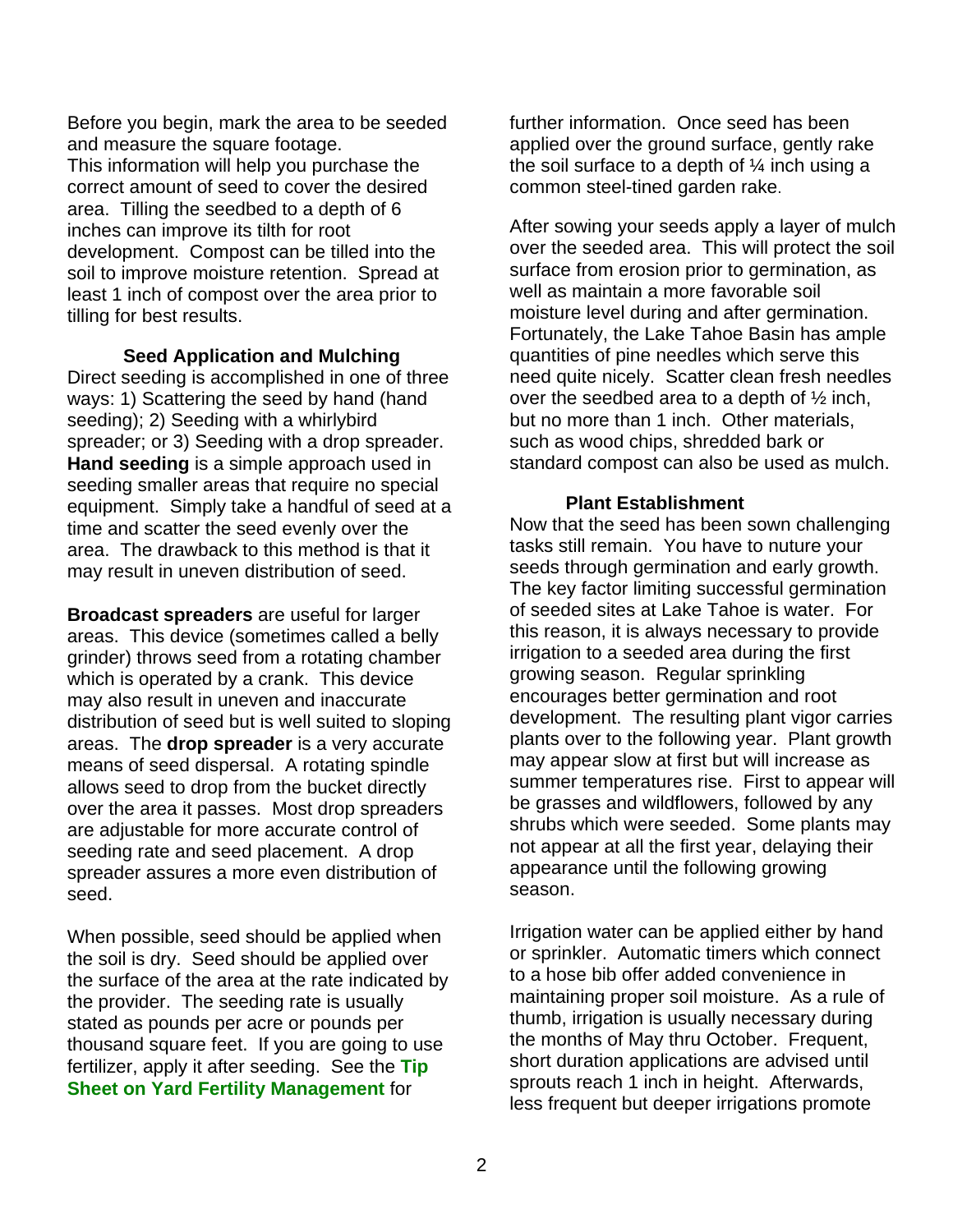Before you begin, mark the area to be seeded and measure the square footage. This information will help you purchase the correct amount of seed to cover the desired area. Tilling the seedbed to a depth of 6 inches can improve its tilth for root development. Compost can be tilled into the soil to improve moisture retention. Spread at least 1 inch of compost over the area prior to tilling for best results.

**Seed Application and Mulching**  Direct seeding is accomplished in one of three ways: 1) Scattering the seed by hand (hand seeding); 2) Seeding with a whirlybird spreader; or 3) Seeding with a drop spreader. **Hand seeding** is a simple approach used in seeding smaller areas that require no special equipment. Simply take a handful of seed at a time and scatter the seed evenly over the area. The drawback to this method is that it may result in uneven distribution of seed.

**Broadcast spreaders** are useful for larger areas. This device (sometimes called a belly grinder) throws seed from a rotating chamber which is operated by a crank. This device may also result in uneven and inaccurate distribution of seed but is well suited to sloping areas. The **drop spreader** is a very accurate means of seed dispersal. A rotating spindle allows seed to drop from the bucket directly over the area it passes. Most drop spreaders are adjustable for more accurate control of seeding rate and seed placement. A drop spreader assures a more even distribution of seed.

When possible, seed should be applied when the soil is dry. Seed should be applied over the surface of the area at the rate indicated by the provider. The seeding rate is usually stated as pounds per acre or pounds per thousand square feet. If you are going to use fertilizer, apply it after seeding. See the **Tip Sheet on Yard Fertility Management** for

further information. Once seed has been applied over the ground surface, gently rake the soil surface to a depth of  $\frac{1}{4}$  inch using a common steel-tined garden rake.

After sowing your seeds apply a layer of mulch over the seeded area. This will protect the soil surface from erosion prior to germination, as well as maintain a more favorable soil moisture level during and after germination. Fortunately, the Lake Tahoe Basin has ample quantities of pine needles which serve this need quite nicely. Scatter clean fresh needles over the seedbed area to a depth of ½ inch, but no more than 1 inch. Other materials, such as wood chips, shredded bark or standard compost can also be used as mulch.

#### **Plant Establishment**

Now that the seed has been sown challenging tasks still remain. You have to nuture your seeds through germination and early growth. The key factor limiting successful germination of seeded sites at Lake Tahoe is water. For this reason, it is always necessary to provide irrigation to a seeded area during the first growing season. Regular sprinkling encourages better germination and root development. The resulting plant vigor carries plants over to the following year. Plant growth may appear slow at first but will increase as summer temperatures rise. First to appear will be grasses and wildflowers, followed by any shrubs which were seeded. Some plants may not appear at all the first year, delaying their appearance until the following growing season.

Irrigation water can be applied either by hand or sprinkler. Automatic timers which connect to a hose bib offer added convenience in maintaining proper soil moisture. As a rule of thumb, irrigation is usually necessary during the months of May thru October. Frequent, short duration applications are advised until sprouts reach 1 inch in height. Afterwards, less frequent but deeper irrigations promote